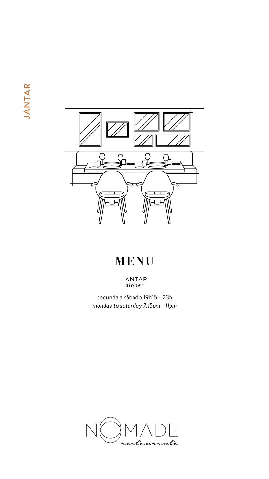JANTAR



# MENU

JANTAR<br>dinner

segunda a sábado 19h15 - 23h

monday to saturday 7:15pm - 11pm

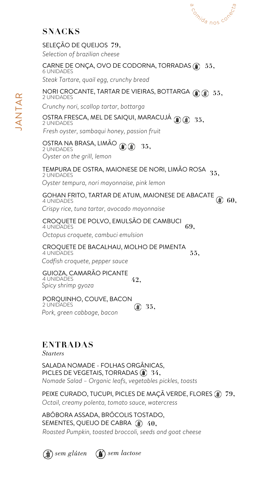#### CARNE DE ONÇA, OVO DE CODORNA, TORRADAS **55,** 6 UNIDADES

#### NORI CROCANTE, TARTAR DE VIEIRAS, BOTTARGA **55,** 2 UNIDADES

### OSTRA FRESCA, MEL DE SAIQUI, MARACUJÁ **35,** 2 UNIDADES

SELEÇÃO DE QUEIJOS **79,**

### CROQUETE DE BACALHAU, MOLHO DE PIMENTA 4 UNIDADES

2 UNIDADES *Oyster on the grill, lemon*

PORQUINHO, COUVE, BACON

#### OSTRA NA BRASA, LIMÃO (1) **35,**

## **SNACKS**

*Selection of brazilian cheese*

*Steak Tartare, quail egg, crunchy bread*

#### TEMPURA DE OSTRA, MAIONESE DE NORI, LIMÃO ROSA 2 UNIDADES **35,**





#### GOHAN FRITO, TARTAR DE ATUM, MAIONESE DE ABACATE 4 UNIDADES **60,**

*Crunchy nori, scallop tartar, bottarga*

#### CROQUETE DE POLVO, EMULSÃO DE CAMBUCI 4 UNIDADES **69,**

*Fresh oyster, sambaqui honey, passion fruit*

#### GUIOZA, CAMARÃO PICANTE 4 UNIDADES *Spicy shrimp gyoza* **42,**

2 UNIDADES *Pork, green cabbage, bacon* **35,**

*Oyster tempura, nori mayonnaise, pink lemon*

*Crispy rice, tuna tartar, avocado mayonnaise*

*Octopus croquete, cambuci emulsion*

*Codfish croquete, pepper sauce*

**55,**

SALADA NOMADE - FOLHAS ORGÂNICAS, PICLES DE VEGETAIS, TORRADAS **34,** *Nomade Salad – Organic leafs, vegetables pickles, toasts*

## **ENTRADAS**

PEIXE CURADO, TUCUPI, PICLES DE MAÇÃ VERDE, FLORES **79,** *Octail, creamy polenta, tomato sauce, watercress*

*Starters*

ABÓBORA ASSADA, BRÓCOLIS TOSTADO, SEMENTES, QUEIJO DE CABRA **40,** *Roasted Pumpkin, toasted broccoli, seeds and goat cheese*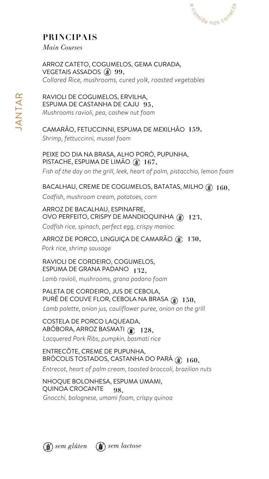## **PRINCIPAIS**

*Main Courses*

### PEIXE DO DIA NA BRASA, ALHO PORÓ, PUPUNHA, PISTACHE, ESPUMA DE LIMÃO *(§)* 167,

ENTRECÔTE, CREME DE PUPUNHA, BROCOLIS TOSTADOS, CASTANHA DO PARÁ ②  $160,$ 

RAVIOLI DE COGUMELOS, ERVILHA, ESPUMA DE CASTANHA DE CAJU **95,** *Mushrooms ravioli, pea, cashew nut foam*

ARROZ CATETO, COGUMELOS, GEMA CURADA, VEGETAIS ASSADOS **99,** *Collared Rice, mushrooms, cured yolk, roasted vegetables*

# PALETA DE CORDEIRO, JUS DE CEBOLA,

## CAMARÃO, FETUCCINNI, ESPUMA DE MEXILHÃO **159,**

*Codfish, mushroom cream, potatoes, corn*

## BACALHAU, CREME DE COGUMELOS, BATATAS, MILHO **160,**

ARROZ DE BACALHAU, ESPINAFRE, OVO PERFEITO, CRISPY DE MANDIOQUINHA **123,**

*Fish of the day on the grill, leek, heart of palm, pistacchio, lemon foam*

PURÊ DE COUVE FLOR, CEBOLA NA BRASA **150,** *Lamb palette, onion jus, cauliflower puree, onion on the grill*

## ARROZ DE PORCO, LINGUIÇA DE CAMARÃO **130,**

## RAVIOLI DE CORDEIRO, COGUMELOS, ESPUMA DE GRANA PADANO **132,**

COSTELA DE PORCO LAQUEADA, ABÓBORA, ARROZ BASMATI **128,** *Lacquered Pork Ribs, pumpkin, basmati rice*



*Shrimp, fettuccinni, mussel foam*





*Codfish rice, spinach, perfect egg, crispy manioc*

NHOQUE BOLONHESA, ESPUMA UMAMI, QUINOA CROCANTE **98,** *Gnocchi, bolognese, umami foam, crispy quinoa*

*Pork rice, shrimp sausage*

*Lamb ravioli, mushrooms, grana padano foam*

*Entrecot, heart of palm cream, toasted broccoli, brazilian nuts*